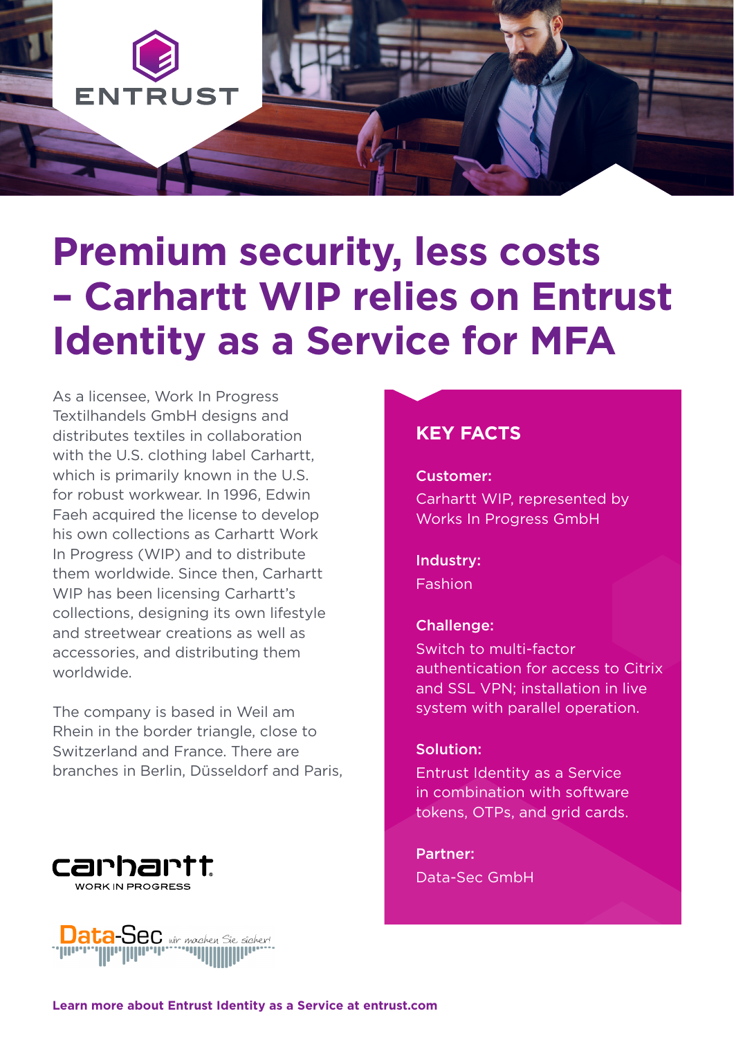

# **Premium security, less costs – Carhartt WIP relies on Entrust Identity as a Service for MFA**

As a licensee, Work In Progress Textilhandels GmbH designs and distributes textiles in collaboration with the U.S. clothing label Carhartt. which is primarily known in the U.S. for robust workwear. In 1996, Edwin Faeh acquired the license to develop his own collections as Carhartt Work In Progress (WIP) and to distribute them worldwide. Since then, Carhartt WIP has been licensing Carhartt's collections, designing its own lifestyle and streetwear creations as well as accessories, and distributing them worldwide.

The company is based in Weil am Rhein in the border triangle, close to Switzerland and France. There are branches in Berlin, Düsseldorf and Paris,





# **KEY FACTS**

Customer:

Carhartt WIP, represented by Works In Progress GmbH

Industry: Fashion

#### Challenge:

Switch to multi-factor authentication for access to Citrix and SSL VPN; installation in live system with parallel operation.

#### Solution:

Entrust Identity as a Service in combination with software tokens, OTPs, and grid cards.

Partner: Data-Sec GmbH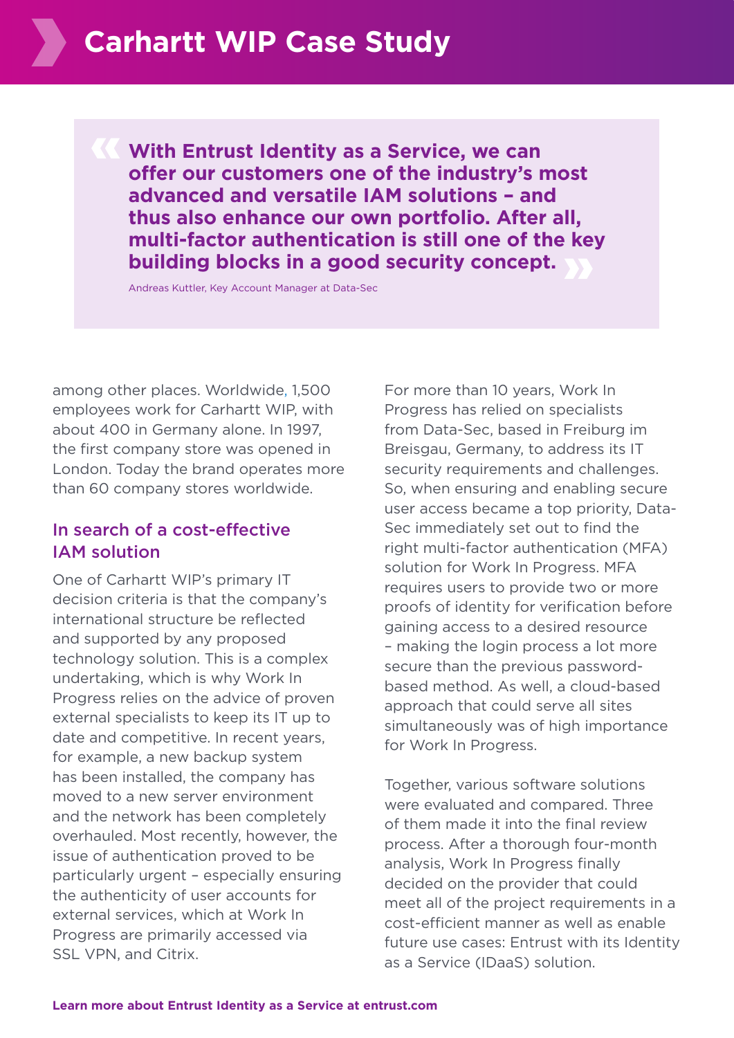**With Entrust Identity as a Service, we can offer our customers one of the industry's most advanced and versatile IAM solutions – and thus also enhance our own portfolio. After all, multi-factor authentication is still one of the key building blocks in a good security concept.**

Andreas Kuttler, Key Account Manager at Data-Sec

among other places. Worldwide, 1,500 employees work for Carhartt WIP, with about 400 in Germany alone. In 1997, the first company store was opened in London. Today the brand operates more than 60 company stores worldwide.

## In search of a cost-effective IAM solution

One of Carhartt WIP's primary IT decision criteria is that the company's international structure be reflected and supported by any proposed technology solution. This is a complex undertaking, which is why Work In Progress relies on the advice of proven external specialists to keep its IT up to date and competitive. In recent years, for example, a new backup system has been installed, the company has moved to a new server environment and the network has been completely overhauled. Most recently, however, the issue of authentication proved to be particularly urgent – especially ensuring the authenticity of user accounts for external services, which at Work In Progress are primarily accessed via SSL VPN, and Citrix.

For more than 10 years, Work In Progress has relied on specialists from Data-Sec, based in Freiburg im Breisgau, Germany, to address its IT security requirements and challenges. So, when ensuring and enabling secure user access became a top priority, Data-Sec immediately set out to find the right multi-factor authentication (MFA) solution for Work In Progress. MFA requires users to provide two or more proofs of identity for verification before gaining access to a desired resource – making the login process a lot more secure than the previous passwordbased method. As well, a cloud-based approach that could serve all sites simultaneously was of high importance for Work In Progress.

Together, various software solutions were evaluated and compared. Three of them made it into the final review process. After a thorough four-month analysis, Work In Progress finally decided on the provider that could meet all of the project requirements in a cost-efficient manner as well as enable future use cases: Entrust with its Identity as a Service (IDaaS) solution.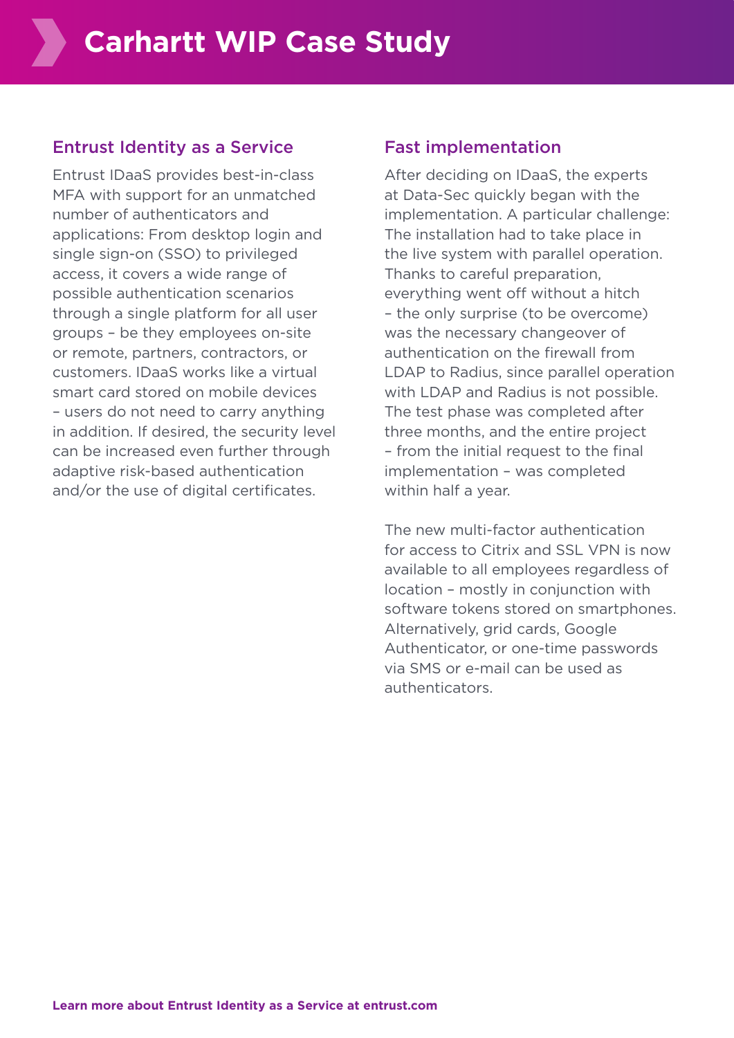## Entrust Identity as a Service

Entrust IDaaS provides best-in-class MFA with support for an unmatched number of authenticators and applications: From desktop login and single sign-on (SSO) to privileged access, it covers a wide range of possible authentication scenarios through a single platform for all user groups – be they employees on-site or remote, partners, contractors, or customers. IDaaS works like a virtual smart card stored on mobile devices – users do not need to carry anything in addition. If desired, the security level can be increased even further through adaptive risk-based authentication and/or the use of digital certificates.

#### Fast implementation

After deciding on IDaaS, the experts at Data-Sec quickly began with the implementation. A particular challenge: The installation had to take place in the live system with parallel operation. Thanks to careful preparation, everything went off without a hitch – the only surprise (to be overcome) was the necessary changeover of authentication on the firewall from LDAP to Radius, since parallel operation with LDAP and Radius is not possible. The test phase was completed after three months, and the entire project – from the initial request to the final implementation – was completed within half a year.

The new multi-factor authentication for access to Citrix and SSL VPN is now available to all employees regardless of location – mostly in conjunction with software tokens stored on smartphones. Alternatively, grid cards, Google Authenticator, or one-time passwords via SMS or e-mail can be used as authenticators.